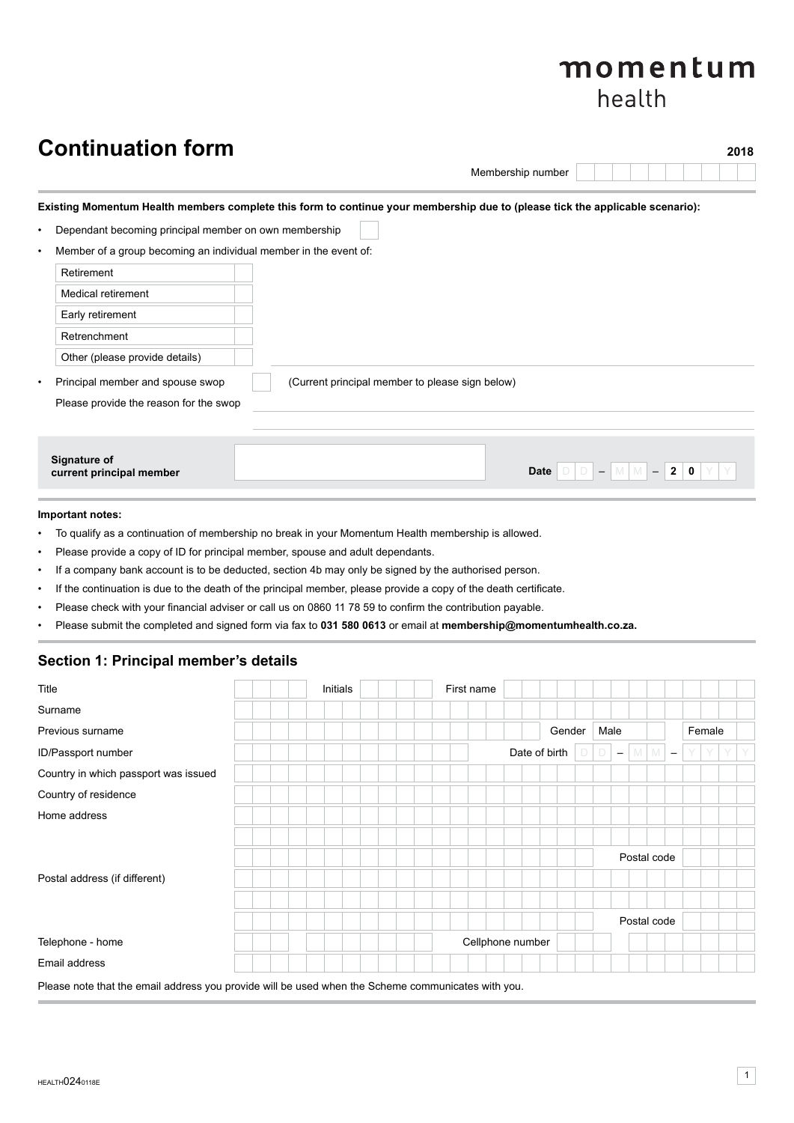# momentum health

# **Continuation form** 2018

Membership number

# **Existing Momentum Health members complete this form to continue your membership due to (please tick the applicable scenario):**

|  | Dependant becoming principal member on own membership |  |  |
|--|-------------------------------------------------------|--|--|
|--|-------------------------------------------------------|--|--|

Member of a group becoming an individual member in the event of:

| Retirement                             |                                                                                               |
|----------------------------------------|-----------------------------------------------------------------------------------------------|
| Medical retirement                     |                                                                                               |
| Early retirement                       |                                                                                               |
| Retrenchment                           |                                                                                               |
| Other (please provide details)         |                                                                                               |
| Principal member and spouse swop       | (Current principal member to please sign below)                                               |
| Please provide the reason for the swop |                                                                                               |
|                                        |                                                                                               |
| <b>Signature of</b>                    |                                                                                               |
| current principal member               | $\overline{2}$<br>$\mathbf 0$<br><b>Date</b><br>M M I<br>$\equiv$<br>$\overline{\phantom{0}}$ |

# **Important notes:**

- To qualify as a continuation of membership no break in your Momentum Health membership is allowed.
- Please provide a copy of ID for principal member, spouse and adult dependants.
- If a company bank account is to be deducted, section 4b may only be signed by the authorised person.
- If the continuation is due to the death of the principal member, please provide a copy of the death certificate.
- Please check with your financial adviser or call us on 0860 11 78 59 to confirm the contribution payable.
- Please submit the completed and signed form via fax to **031 580 0613** or email at **membership@momentumhealth.co.za.**

# **Section 1: Principal member's details**

| Title                                                                                              | Initials | First name       |               |        |                          |                                 |   |        |   |
|----------------------------------------------------------------------------------------------------|----------|------------------|---------------|--------|--------------------------|---------------------------------|---|--------|---|
| Surname                                                                                            |          |                  |               |        |                          |                                 |   |        |   |
| Previous surname                                                                                   |          |                  |               | Gender | Male                     |                                 |   | Female |   |
| ID/Passport number                                                                                 |          |                  | Date of birth |        | $\overline{\phantom{m}}$ | M M<br>$\overline{\phantom{m}}$ | Y | Y      | Y |
| Country in which passport was issued                                                               |          |                  |               |        |                          |                                 |   |        |   |
| Country of residence                                                                               |          |                  |               |        |                          |                                 |   |        |   |
| Home address                                                                                       |          |                  |               |        |                          |                                 |   |        |   |
|                                                                                                    |          |                  |               |        |                          |                                 |   |        |   |
|                                                                                                    |          |                  |               |        |                          | Postal code                     |   |        |   |
| Postal address (if different)                                                                      |          |                  |               |        |                          |                                 |   |        |   |
|                                                                                                    |          |                  |               |        |                          |                                 |   |        |   |
|                                                                                                    |          |                  |               |        |                          | Postal code                     |   |        |   |
| Telephone - home                                                                                   |          | Cellphone number |               |        |                          |                                 |   |        |   |
| Email address                                                                                      |          |                  |               |        |                          |                                 |   |        |   |
| Please note that the email address you provide will be used when the Scheme communicates with you. |          |                  |               |        |                          |                                 |   |        |   |

HEALTHO240118E **1**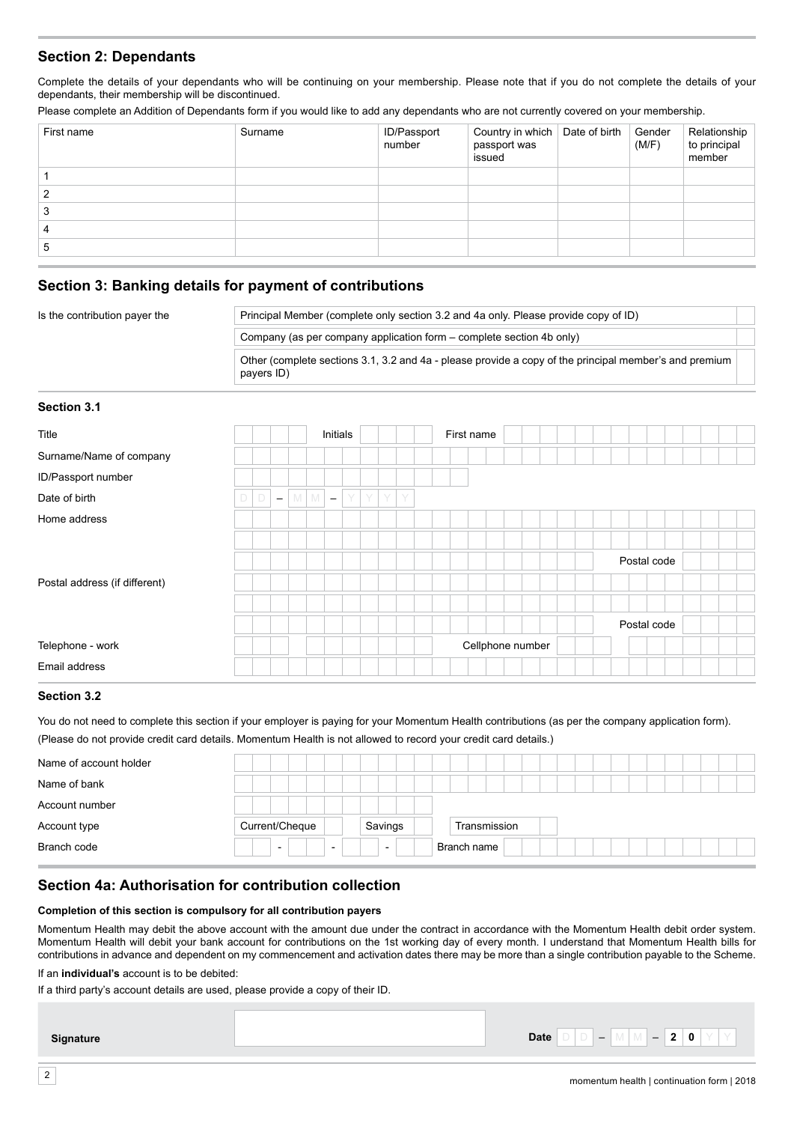# **Section 2: Dependants**

Complete the details of your dependants who will be continuing on your membership. Please note that if you do not complete the details of your dependants, their membership will be discontinued.

Please complete an Addition of Dependants form if you would like to add any dependants who are not currently covered on your membership.

| First name | Surname | ID/Passport<br>number | Country in which   Date of birth   Gender<br>passport was<br>issued | (M/F) | Relationship<br>to principal<br>member |
|------------|---------|-----------------------|---------------------------------------------------------------------|-------|----------------------------------------|
|            |         |                       |                                                                     |       |                                        |
|            |         |                       |                                                                     |       |                                        |
|            |         |                       |                                                                     |       |                                        |
|            |         |                       |                                                                     |       |                                        |
| G          |         |                       |                                                                     |       |                                        |
|            |         |                       |                                                                     |       |                                        |

# **Section 3: Banking details for payment of contributions**

| Is the contribution payer the | Principal Member (complete only section 3.2 and 4a only. Please provide copy of ID)                                  |  |
|-------------------------------|----------------------------------------------------------------------------------------------------------------------|--|
|                               | Company (as per company application form – complete section 4b only)                                                 |  |
|                               | Other (complete sections 3.1, 3.2 and 4a - please provide a copy of the principal member's and premium<br>payers ID) |  |

#### **Section 3.1**

| Title                         |        |        |                          |                |   | Initials                 |  |      |  | First name |                  |  |  |  |  |             |  |  |  |
|-------------------------------|--------|--------|--------------------------|----------------|---|--------------------------|--|------|--|------------|------------------|--|--|--|--|-------------|--|--|--|
| Surname/Name of company       |        |        |                          |                |   |                          |  |      |  |            |                  |  |  |  |  |             |  |  |  |
| ID/Passport number            |        |        |                          |                |   |                          |  |      |  |            |                  |  |  |  |  |             |  |  |  |
| Date of birth                 | $\Box$ | $\Box$ | $\overline{\phantom{m}}$ | M <sub>1</sub> | M | $\overline{\phantom{a}}$ |  | YYYY |  |            |                  |  |  |  |  |             |  |  |  |
| Home address                  |        |        |                          |                |   |                          |  |      |  |            |                  |  |  |  |  |             |  |  |  |
|                               |        |        |                          |                |   |                          |  |      |  |            |                  |  |  |  |  |             |  |  |  |
|                               |        |        |                          |                |   |                          |  |      |  |            |                  |  |  |  |  | Postal code |  |  |  |
| Postal address (if different) |        |        |                          |                |   |                          |  |      |  |            |                  |  |  |  |  |             |  |  |  |
|                               |        |        |                          |                |   |                          |  |      |  |            |                  |  |  |  |  |             |  |  |  |
|                               |        |        |                          |                |   |                          |  |      |  |            |                  |  |  |  |  | Postal code |  |  |  |
| Telephone - work              |        |        |                          |                |   |                          |  |      |  |            | Cellphone number |  |  |  |  |             |  |  |  |
| Email address                 |        |        |                          |                |   |                          |  |      |  |            |                  |  |  |  |  |             |  |  |  |

#### **Section 3.2**

You do not need to complete this section if your employer is paying for your Momentum Health contributions (as per the company application form). (Please do not provide credit card details. Momentum Health is not allowed to record your credit card details.)

| Name of account holder |                                                      |                          |              |  |  |
|------------------------|------------------------------------------------------|--------------------------|--------------|--|--|
| Name of bank           |                                                      |                          |              |  |  |
| Account number         |                                                      |                          |              |  |  |
| Account type           | Current/Cheque                                       | Savings                  | Transmission |  |  |
| Branch code            | $\overline{\phantom{0}}$<br>$\overline{\phantom{0}}$ | $\overline{\phantom{0}}$ | Branch name  |  |  |

# **Section 4a: Authorisation for contribution collection**

#### **Completion of this section is compulsory for all contribution payers**

Momentum Health may debit the above account with the amount due under the contract in accordance with the Momentum Health debit order system. Momentum Health will debit your bank account for contributions on the 1st working day of every month. I understand that Momentum Health bills for contributions in advance and dependent on my commencement and activation dates there may be more than a single contribution payable to the Scheme.

If an **individual's** account is to be debited:

If a third party's account details are used, please provide a copy of their ID.

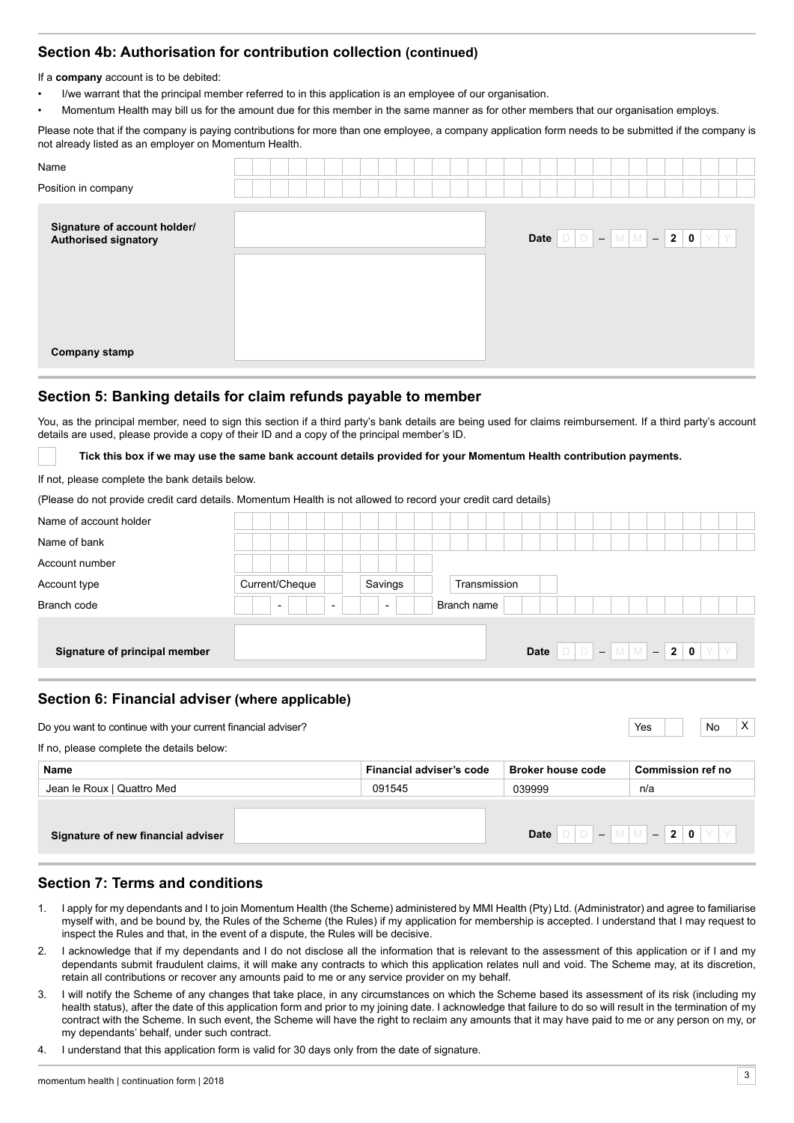# **Section 4b: Authorisation for contribution collection (continued)**

If a **company** account is to be debited:

- I/we warrant that the principal member referred to in this application is an employee of our organisation.
- Momentum Health may bill us for the amount due for this member in the same manner as for other members that our organisation employs.

Please note that if the company is paying contributions for more than one employee, a company application form needs to be submitted if the company is not already listed as an employer on Momentum Health.

| Name<br>Position in company                          |  |  |  |  |  |  |                                                                                                        |  |  |
|------------------------------------------------------|--|--|--|--|--|--|--------------------------------------------------------------------------------------------------------|--|--|
| Signature of account holder/<br>Authorised signatory |  |  |  |  |  |  | Date $\boxed{D}$ $\boxed{D}$ $ \boxed{M}$ $\boxed{M}$ $ \boxed{2}$ $\boxed{0}$ $\boxed{Y}$ $\boxed{Y}$ |  |  |
| <b>Company stamp</b>                                 |  |  |  |  |  |  |                                                                                                        |  |  |

### **Section 5: Banking details for claim refunds payable to member**

You, as the principal member, need to sign this section if a third party's bank details are being used for claims reimbursement. If a third party's account details are used, please provide a copy of their ID and a copy of the principal member's ID.

**Tick this box if we may use the same bank account details provided for your Momentum Health contribution payments.**

If not, please complete the bank details below.

(Please do not provide credit card details. Momentum Health is not allowed to record your credit card details)

| Current/Cheque                                       |                          | Transmission |             |                                           |
|------------------------------------------------------|--------------------------|--------------|-------------|-------------------------------------------|
| $\overline{\phantom{0}}$<br>$\overline{\phantom{0}}$ | $\overline{\phantom{a}}$ |              |             |                                           |
|                                                      |                          |              |             |                                           |
|                                                      |                          | Date         |             |                                           |
|                                                      |                          | Savings      | Branch name | $D   D   =   M   M   =   2   0   Y   Y  $ |

# **Section 6: Financial adviser (where applicable)**

| Do you want to continue with your current financial adviser? |                          |                          | $\times$<br>Yes<br>No    |
|--------------------------------------------------------------|--------------------------|--------------------------|--------------------------|
| If no, please complete the details below:                    |                          |                          |                          |
| Name                                                         | Financial adviser's code | <b>Broker house code</b> | <b>Commission ref no</b> |
| Jean le Roux   Quattro Med                                   | 091545                   | 039999                   | n/a                      |
|                                                              |                          |                          |                          |
| Signature of new financial adviser                           |                          | <b>Date</b>              |                          |

# **Section 7: Terms and conditions**

- 1. I apply for my dependants and I to join Momentum Health (the Scheme) administered by MMI Health (Pty) Ltd. (Administrator) and agree to familiarise myself with, and be bound by, the Rules of the Scheme (the Rules) if my application for membership is accepted. I understand that I may request to inspect the Rules and that, in the event of a dispute, the Rules will be decisive.
- 2. I acknowledge that if my dependants and I do not disclose all the information that is relevant to the assessment of this application or if I and my dependants submit fraudulent claims, it will make any contracts to which this application relates null and void. The Scheme may, at its discretion, retain all contributions or recover any amounts paid to me or any service provider on my behalf.
- 3. I will notify the Scheme of any changes that take place, in any circumstances on which the Scheme based its assessment of its risk (including my health status), after the date of this application form and prior to my joining date. I acknowledge that failure to do so will result in the termination of my contract with the Scheme. In such event, the Scheme will have the right to reclaim any amounts that it may have paid to me or any person on my, or my dependants' behalf, under such contract.
- 4. I understand that this application form is valid for 30 days only from the date of signature.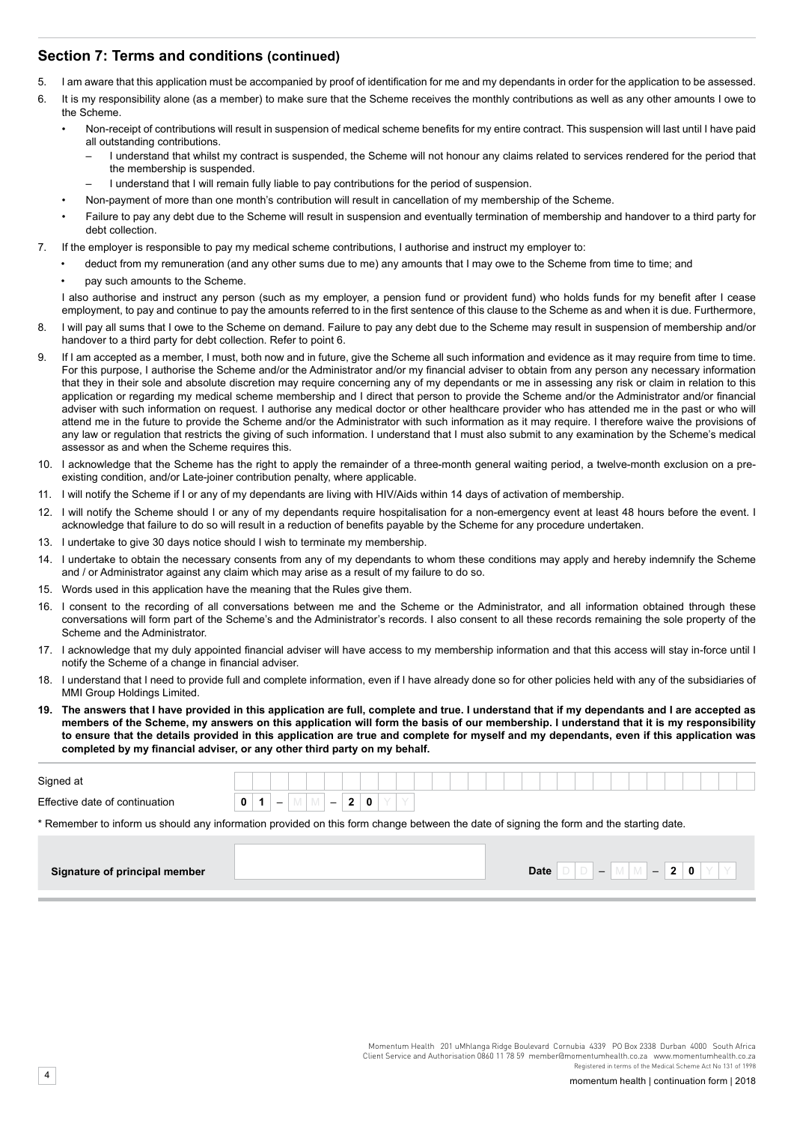# **Section 7: Terms and conditions (continued)**

- 5. I am aware that this application must be accompanied by proof of identification for me and my dependants in order for the application to be assessed.
- 6. It is my responsibility alone (as a member) to make sure that the Scheme receives the monthly contributions as well as any other amounts I owe to the Scheme.
	- Non-receipt of contributions will result in suspension of medical scheme benefits for my entire contract. This suspension will last until I have paid all outstanding contributions.
		- I understand that whilst my contract is suspended, the Scheme will not honour any claims related to services rendered for the period that the membership is suspended.
		- I understand that I will remain fully liable to pay contributions for the period of suspension.
		- Non-payment of more than one month's contribution will result in cancellation of my membership of the Scheme.
	- Failure to pay any debt due to the Scheme will result in suspension and eventually termination of membership and handover to a third party for debt collection.
- 7. If the employer is responsible to pay my medical scheme contributions, I authorise and instruct my employer to:
	- deduct from my remuneration (and any other sums due to me) any amounts that I may owe to the Scheme from time to time; and
	- pay such amounts to the Scheme.
	- I also authorise and instruct any person (such as my employer, a pension fund or provident fund) who holds funds for my benefit after I cease employment, to pay and continue to pay the amounts referred to in the first sentence of this clause to the Scheme as and when it is due. Furthermore,
- 8. I will pay all sums that I owe to the Scheme on demand. Failure to pay any debt due to the Scheme may result in suspension of membership and/or handover to a third party for debt collection. Refer to point 6.
- 9. If I am accepted as a member, I must, both now and in future, give the Scheme all such information and evidence as it may require from time to time. For this purpose, I authorise the Scheme and/or the Administrator and/or my financial adviser to obtain from any person any necessary information that they in their sole and absolute discretion may require concerning any of my dependants or me in assessing any risk or claim in relation to this application or regarding my medical scheme membership and I direct that person to provide the Scheme and/or the Administrator and/or financial adviser with such information on request. I authorise any medical doctor or other healthcare provider who has attended me in the past or who will attend me in the future to provide the Scheme and/or the Administrator with such information as it may require. I therefore waive the provisions of any law or regulation that restricts the giving of such information. I understand that I must also submit to any examination by the Scheme's medical assessor as and when the Scheme requires this.
- 10. I acknowledge that the Scheme has the right to apply the remainder of a three-month general waiting period, a twelve-month exclusion on a preexisting condition, and/or Late-joiner contribution penalty, where applicable.
- 11. I will notify the Scheme if I or any of my dependants are living with HIV/Aids within 14 days of activation of membership.
- 12. I will notify the Scheme should I or any of my dependants require hospitalisation for a non-emergency event at least 48 hours before the event. I acknowledge that failure to do so will result in a reduction of benefits payable by the Scheme for any procedure undertaken.
- 13. I undertake to give 30 days notice should I wish to terminate my membership.
- 14. I undertake to obtain the necessary consents from any of my dependants to whom these conditions may apply and hereby indemnify the Scheme and / or Administrator against any claim which may arise as a result of my failure to do so.
- 15. Words used in this application have the meaning that the Rules give them.
- 16. I consent to the recording of all conversations between me and the Scheme or the Administrator, and all information obtained through these conversations will form part of the Scheme's and the Administrator's records. I also consent to all these records remaining the sole property of the Scheme and the Administrator.
- 17. I acknowledge that my duly appointed financial adviser will have access to my membership information and that this access will stay in-force until I notify the Scheme of a change in financial adviser.
- 18. I understand that I need to provide full and complete information, even if I have already done so for other policies held with any of the subsidiaries of MMI Group Holdings Limited.
- **19. The answers that I have provided in this application are full, complete and true. I understand that if my dependants and I are accepted as members of the Scheme, my answers on this application will form the basis of our membership. I understand that it is my responsibility to ensure that the details provided in this application are true and complete for myself and my dependants, even if this application was completed by my financial adviser, or any other third party on my behalf.**

| Signed at                      |                                                                                                                                         |
|--------------------------------|-----------------------------------------------------------------------------------------------------------------------------------------|
| Effective date of continuation | $\begin{bmatrix} 0 & 1 & - \end{bmatrix}$ M $\begin{bmatrix} \mathbb{N} & - & 2 & 0 & \mathbb{Y} & \mathbb{Y} \end{bmatrix}$            |
|                                | * Remember to inform us should any information provided on this form change between the date of signing the form and the starting date. |
|                                |                                                                                                                                         |
| Signature of principal member  |                                                                                                                                         |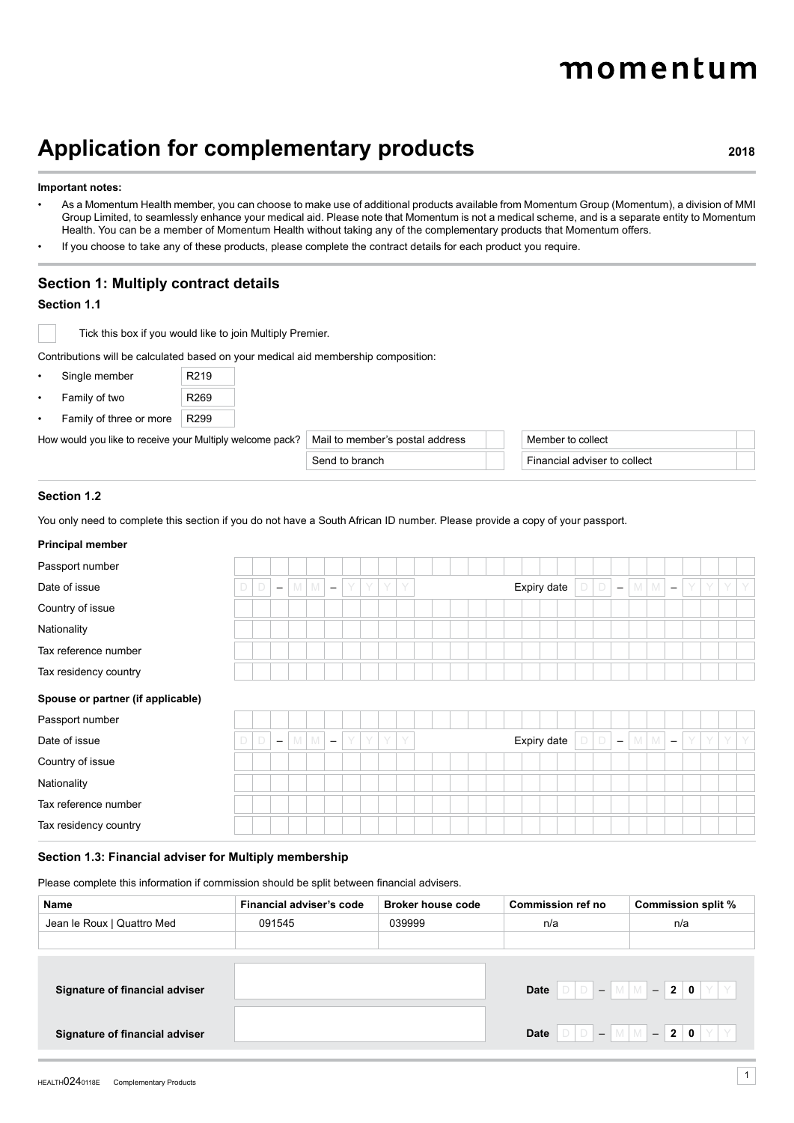# momentum

# **Application for complementary products <sup>2018</sup>**

#### **Important notes:**

- As a Momentum Health member, you can choose to make use of additional products available from Momentum Group (Momentum), a division of MMI Group Limited, to seamlessly enhance your medical aid. Please note that Momentum is not a medical scheme, and is a separate entity to Momentum Health. You can be a member of Momentum Health without taking any of the complementary products that Momentum offers.
- If you choose to take any of these products, please complete the contract details for each product you require.

# **Section 1: Multiply contract details**

#### **Section 1.1**

Tick this box if you would like to join Multiply Premier.

Contributions will be calculated based on your medical aid membership composition:

| Single member  | R <sub>219</sub> |
|----------------|------------------|
| Family of two  | R269             |
| $11 - 12 - 12$ | DOP              |

Family of three or more | R299

How would you like to receive your Multiply welcome pack? Mail to member's postal address Member to collect

Send to branch Financial adviser to collect

#### **Section 1.2**

You only need to complete this section if you do not have a South African ID number. Please provide a copy of your passport.

#### **Principal member**

| Passport number                   |   |        |                          |   |          |                          |   |      |  |  |  |  |             |  |                          |         |                          |   |    |    |  |
|-----------------------------------|---|--------|--------------------------|---|----------|--------------------------|---|------|--|--|--|--|-------------|--|--------------------------|---------|--------------------------|---|----|----|--|
| Date of issue                     | D | $\Box$ | $\overline{\phantom{m}}$ | M | M        | $\overline{\phantom{m}}$ | Y | YYY  |  |  |  |  | Expiry date |  | $\overline{\phantom{m}}$ | $M$ $M$ | $\overline{\phantom{a}}$ | Y | Y  | YY |  |
| Country of issue                  |   |        |                          |   |          |                          |   |      |  |  |  |  |             |  |                          |         |                          |   |    |    |  |
| Nationality                       |   |        |                          |   |          |                          |   |      |  |  |  |  |             |  |                          |         |                          |   |    |    |  |
| Tax reference number              |   |        |                          |   |          |                          |   |      |  |  |  |  |             |  |                          |         |                          |   |    |    |  |
| Tax residency country             |   |        |                          |   |          |                          |   |      |  |  |  |  |             |  |                          |         |                          |   |    |    |  |
| Spouse or partner (if applicable) |   |        |                          |   |          |                          |   |      |  |  |  |  |             |  |                          |         |                          |   |    |    |  |
| Passport number                   |   |        |                          |   |          |                          |   |      |  |  |  |  |             |  |                          |         |                          |   |    |    |  |
| Date of issue                     | D | $\Box$ | $\overline{\phantom{m}}$ | M | <b>M</b> | $\overline{\phantom{a}}$ |   | YYYY |  |  |  |  | Expiry date |  | $\overline{\phantom{m}}$ | M M     | $\equiv$                 | Y | Y. | YY |  |
| Country of issue                  |   |        |                          |   |          |                          |   |      |  |  |  |  |             |  |                          |         |                          |   |    |    |  |
| Nationality                       |   |        |                          |   |          |                          |   |      |  |  |  |  |             |  |                          |         |                          |   |    |    |  |
| Tax reference number              |   |        |                          |   |          |                          |   |      |  |  |  |  |             |  |                          |         |                          |   |    |    |  |
| Tax residency country             |   |        |                          |   |          |                          |   |      |  |  |  |  |             |  |                          |         |                          |   |    |    |  |

#### **Section 1.3: Financial adviser for Multiply membership**

Please complete this information if commission should be split between financial advisers.

| Name                           | Financial adviser's code | <b>Broker house code</b> | Commission ref no | Commission split %                                                                                                 |
|--------------------------------|--------------------------|--------------------------|-------------------|--------------------------------------------------------------------------------------------------------------------|
| Jean le Roux   Quattro Med     | 091545                   | 039999                   | n/a               | n/a                                                                                                                |
|                                |                          |                          |                   |                                                                                                                    |
|                                |                          |                          |                   |                                                                                                                    |
| Signature of financial adviser |                          |                          |                   | Date $\boxed{D}$ $\boxed{D}$ $\boxed{-}$ $\boxed{M}$ $\boxed{M}$ $\boxed{-}$ 2 $\boxed{0}$ $\boxed{Y}$ $\boxed{Y}$ |
| Signature of financial adviser |                          |                          |                   | Date $D D - M M - 20 Y Y$                                                                                          |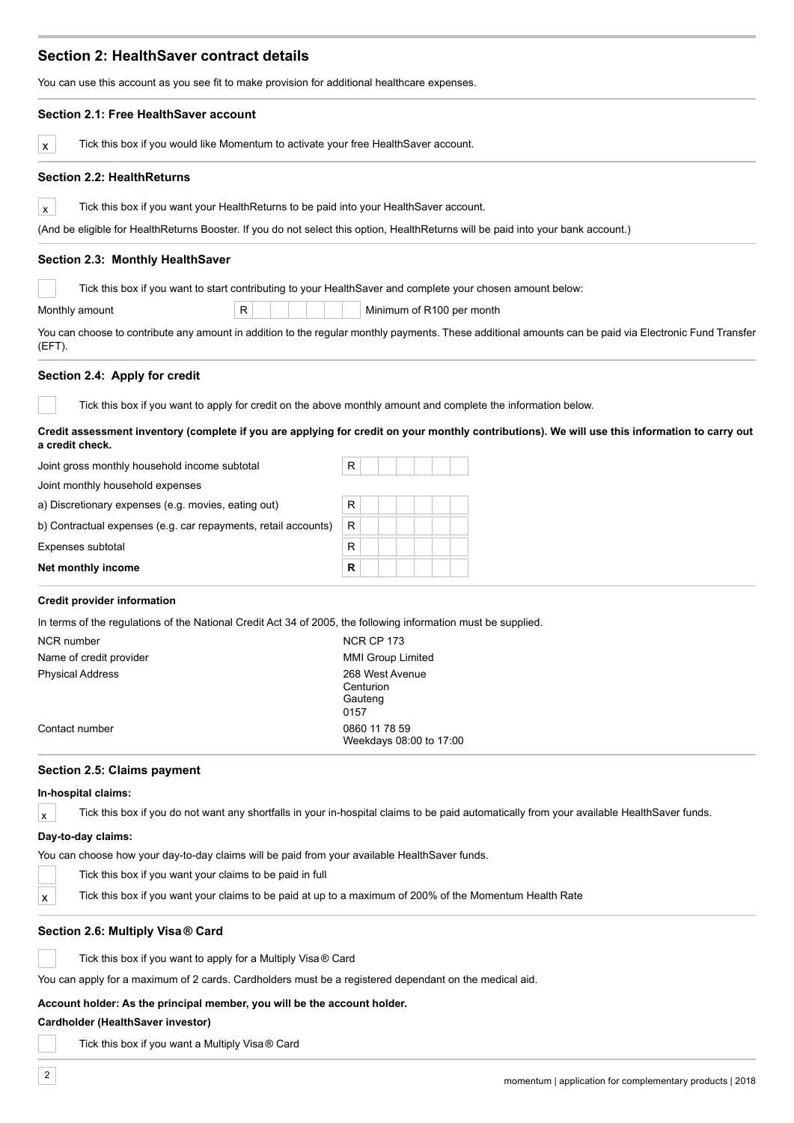# **Section 2: HealthSaver contract details**

You can use this account as you see fit to make provision for additional healthcare expenses.

| Section 2.1: Free HealthSaver account                                                                                                                             |                          |  |                           |  |
|-------------------------------------------------------------------------------------------------------------------------------------------------------------------|--------------------------|--|---------------------------|--|
| Tick this box if you would like Momentum to activate your free HealthSaver account.<br>X                                                                          |                          |  |                           |  |
| <b>Section 2.2: HealthReturns</b>                                                                                                                                 |                          |  |                           |  |
| Tick this box if you want your HealthReturns to be paid into your HealthSaver account.<br>$\mathsf{x}$                                                            |                          |  |                           |  |
| (And be eligible for HealthReturns Booster. If you do not select this option, HealthReturns will be paid into your bank account.)                                 |                          |  |                           |  |
| Section 2.3: Monthly HealthSaver                                                                                                                                  |                          |  |                           |  |
| Tick this box if you want to start contributing to your Health Saver and complete your chosen amount below:                                                       |                          |  |                           |  |
| R<br>Monthly amount                                                                                                                                               |                          |  | Minimum of R100 per month |  |
| You can choose to contribute any amount in addition to the regular monthly payments. These additional amounts can be paid via Electronic Fund Transfer<br>(EFT).  |                          |  |                           |  |
| Section 2.4: Apply for credit                                                                                                                                     |                          |  |                           |  |
| Tick this box if you want to apply for credit on the above monthly amount and complete the information below.                                                     |                          |  |                           |  |
| Credit assessment inventory (complete if you are applying for credit on your monthly contributions). We will use this information to carry out<br>a credit check. |                          |  |                           |  |
| Joint gross monthly household income subtotal                                                                                                                     | R                        |  |                           |  |
| Joint monthly household expenses                                                                                                                                  |                          |  |                           |  |
| a) Discretionary expenses (e.g. movies, eating out)                                                                                                               | R                        |  |                           |  |
| b) Contractual expenses (e.g. car repayments, retail accounts)                                                                                                    | R                        |  |                           |  |
| Expenses subtotal                                                                                                                                                 | $\mathsf R$              |  |                           |  |
| Net monthly income                                                                                                                                                | R                        |  |                           |  |
| <b>Credit provider information</b>                                                                                                                                |                          |  |                           |  |
| In terms of the regulations of the National Credit Act 34 of 2005, the following information must be supplied.                                                    |                          |  |                           |  |
| <b>NCR</b> number                                                                                                                                                 | <b>NCR CP 173</b>        |  |                           |  |
| Name of credit provider                                                                                                                                           | <b>MMI Group Limited</b> |  |                           |  |
| <b>Physical Address</b>                                                                                                                                           | 268 West Avenue          |  |                           |  |
|                                                                                                                                                                   | Centurion<br>Gauteng     |  |                           |  |
|                                                                                                                                                                   | 0157                     |  |                           |  |
| Contact number                                                                                                                                                    | 0860 11 78 59            |  | Weekdays 08:00 to 17:00   |  |
| Section 2.5: Claims payment                                                                                                                                       |                          |  |                           |  |
| In-hospital claims:                                                                                                                                               |                          |  |                           |  |
| Tick this box if you do not want any shortfalls in your in-hospital claims to be paid automatically from your available HealthSaver funds.<br>$\mathsf{x}$        |                          |  |                           |  |
| Day-to-day claims:                                                                                                                                                |                          |  |                           |  |
| You can choose how your day-to-day claims will be paid from your available HealthSaver funds.                                                                     |                          |  |                           |  |
| Tick this box if you want your claims to be paid in full                                                                                                          |                          |  |                           |  |
|                                                                                                                                                                   |                          |  |                           |  |
| Tick this box if you want your claims to be paid at up to a maximum of 200% of the Momentum Health Rate<br>X                                                      |                          |  |                           |  |

#### **Section 2.6: Multiply Visa ® Card**

k this box if you want to apply for a Multiply Visa ® Card

You can apply for a maximum of 2 cards. Cardholders must be a registered dependant on the medical aid.

### **Account holder: As the principal member, you will be the account holder.**

#### **Cardholder (HealthSaver investor)**

Tick this box if you want a Multiply Visa ® Card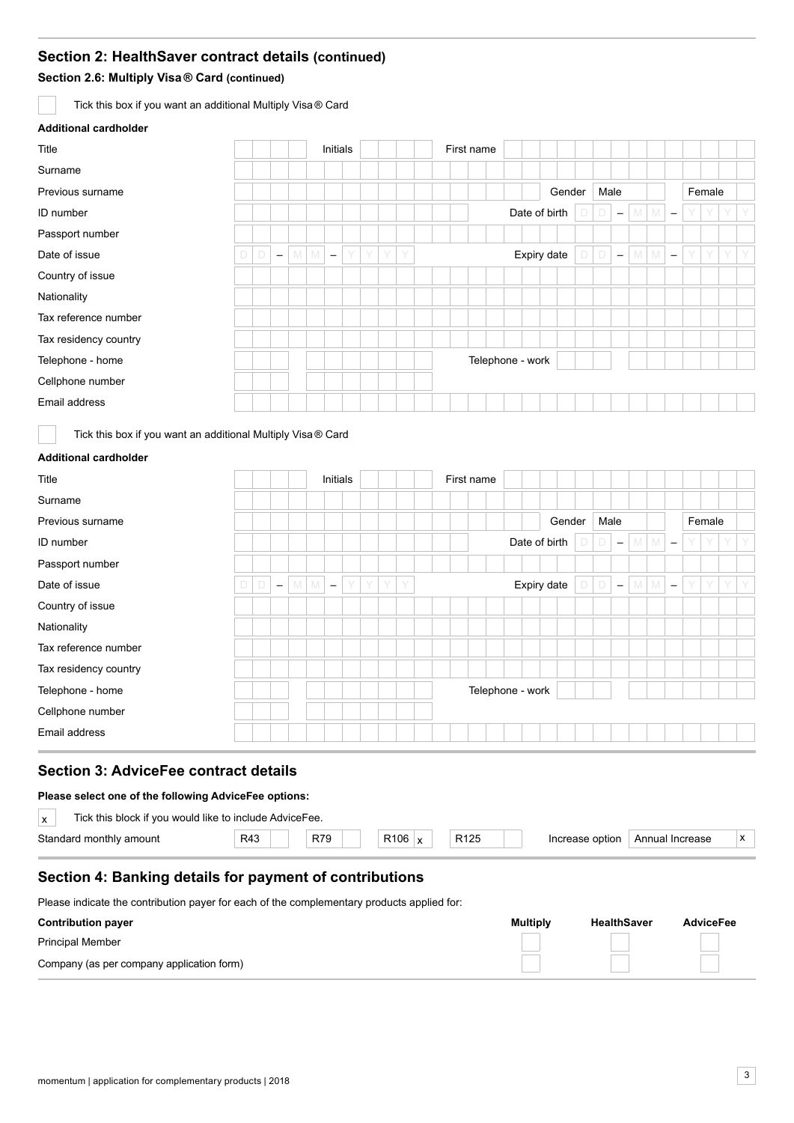# **Section 2: HealthSaver contract details (continued)**

**Section 2.6: Multiply Visa ® Card (continued)** 

Tick this box if you want an additional Multiply Visa ® Card

# **Additional cardholder**

| Title                 | Initials |   |                          |            |                          |  | First name |   |   |  |  |  |                  |  |  |               |        |      |                          |         |                          |   |        |   |   |
|-----------------------|----------|---|--------------------------|------------|--------------------------|--|------------|---|---|--|--|--|------------------|--|--|---------------|--------|------|--------------------------|---------|--------------------------|---|--------|---|---|
| Surname               |          |   |                          |            |                          |  |            |   |   |  |  |  |                  |  |  |               |        |      |                          |         |                          |   |        |   |   |
| Previous surname      |          |   |                          |            |                          |  |            |   |   |  |  |  |                  |  |  |               | Gender | Male |                          |         |                          |   | Female |   |   |
| ID number             |          |   |                          |            |                          |  |            |   |   |  |  |  |                  |  |  | Date of birth |        |      | $\overline{\phantom{m}}$ | $M$ $M$ | $\overline{\phantom{m}}$ | Y | Y      |   |   |
| Passport number       |          |   |                          |            |                          |  |            |   |   |  |  |  |                  |  |  |               |        |      |                          |         |                          |   |        |   |   |
| Date of issue         | D        | D | $\overline{\phantom{a}}$ | $M \mid M$ | $\overline{\phantom{m}}$ |  | Y          | Y | Y |  |  |  |                  |  |  | Expiry date   |        |      | $\overline{\phantom{m}}$ | $M$ $M$ | $\overline{\phantom{m}}$ | Y | Y      | Y | Y |
| Country of issue      |          |   |                          |            |                          |  |            |   |   |  |  |  |                  |  |  |               |        |      |                          |         |                          |   |        |   |   |
| Nationality           |          |   |                          |            |                          |  |            |   |   |  |  |  |                  |  |  |               |        |      |                          |         |                          |   |        |   |   |
| Tax reference number  |          |   |                          |            |                          |  |            |   |   |  |  |  |                  |  |  |               |        |      |                          |         |                          |   |        |   |   |
| Tax residency country |          |   |                          |            |                          |  |            |   |   |  |  |  |                  |  |  |               |        |      |                          |         |                          |   |        |   |   |
| Telephone - home      |          |   |                          |            |                          |  |            |   |   |  |  |  | Telephone - work |  |  |               |        |      |                          |         |                          |   |        |   |   |
| Cellphone number      |          |   |                          |            |                          |  |            |   |   |  |  |  |                  |  |  |               |        |      |                          |         |                          |   |        |   |   |
| Email address         |          |   |                          |            |                          |  |            |   |   |  |  |  |                  |  |  |               |        |      |                          |         |                          |   |        |   |   |

Tick this box if you want an additional Multiply Visa ® Card

#### **Additional cardholder**

| Title                 |   |   |                          |     |   | Initials                 |   |   |   |   |  | First name       |  |               |      |                          |         |                          |   |        |   |  |
|-----------------------|---|---|--------------------------|-----|---|--------------------------|---|---|---|---|--|------------------|--|---------------|------|--------------------------|---------|--------------------------|---|--------|---|--|
| Surname               |   |   |                          |     |   |                          |   |   |   |   |  |                  |  |               |      |                          |         |                          |   |        |   |  |
| Previous surname      |   |   |                          |     |   |                          |   |   |   |   |  |                  |  | Gender        | Male |                          |         |                          |   | Female |   |  |
| ID number             |   |   |                          |     |   |                          |   |   |   |   |  |                  |  | Date of birth |      | $\overline{\phantom{m}}$ | $M$ $M$ | $\overline{\phantom{m}}$ | Y | Y      | Y |  |
| Passport number       |   |   |                          |     |   |                          |   |   |   |   |  |                  |  |               |      |                          |         |                          |   |        |   |  |
| Date of issue         | D | D | $\overline{\phantom{m}}$ | M I | M | $\overline{\phantom{a}}$ | Y | Y | Y | Y |  |                  |  | Expiry date   |      | $\overline{\phantom{m}}$ | $M$ $M$ | $\overline{\phantom{m}}$ | Y | Y      | Y |  |
| Country of issue      |   |   |                          |     |   |                          |   |   |   |   |  |                  |  |               |      |                          |         |                          |   |        |   |  |
| Nationality           |   |   |                          |     |   |                          |   |   |   |   |  |                  |  |               |      |                          |         |                          |   |        |   |  |
| Tax reference number  |   |   |                          |     |   |                          |   |   |   |   |  |                  |  |               |      |                          |         |                          |   |        |   |  |
| Tax residency country |   |   |                          |     |   |                          |   |   |   |   |  |                  |  |               |      |                          |         |                          |   |        |   |  |
| Telephone - home      |   |   |                          |     |   |                          |   |   |   |   |  | Telephone - work |  |               |      |                          |         |                          |   |        |   |  |
| Cellphone number      |   |   |                          |     |   |                          |   |   |   |   |  |                  |  |               |      |                          |         |                          |   |        |   |  |
| Email address         |   |   |                          |     |   |                          |   |   |   |   |  |                  |  |               |      |                          |         |                          |   |        |   |  |

# **Section 3: AdviceFee contract details**

#### **Please select one of the following AdviceFee options:**

| Tick this block if you would like to include AdviceFee.<br>$\mathbf{v}$<br>$\lambda$ |     |     |                  |                  |                 |                 |  |
|--------------------------------------------------------------------------------------|-----|-----|------------------|------------------|-----------------|-----------------|--|
| Standard monthly amount                                                              | R43 | R79 | R <sub>106</sub> | R <sub>125</sub> | Increase option | Annual Increase |  |
|                                                                                      |     |     |                  |                  |                 |                 |  |

# **Section 4: Banking details for payment of contributions**

Please indicate the contribution payer for each of the complementary products applied for:

| <b>Contribution payer</b>                 | <b>Multiply</b> | <b>HealthSaver</b> | <b>AdviceFee</b> |
|-------------------------------------------|-----------------|--------------------|------------------|
| <b>Principal Member</b>                   |                 |                    |                  |
| Company (as per company application form) |                 |                    |                  |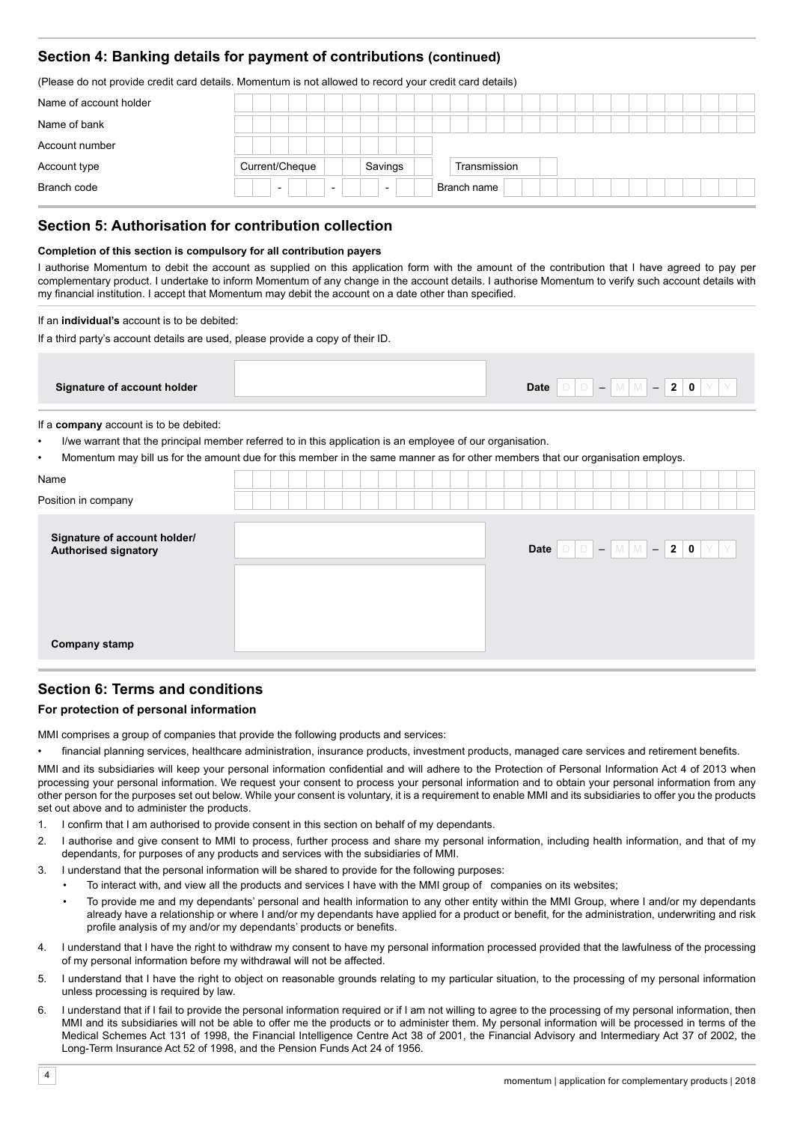# **Section 4: Banking details for payment of contributions (continued)**

(Please do not provide credit card details. Momentum is not allowed to record your credit card details)

| Name of account holder |                                                      |                          |              |  |
|------------------------|------------------------------------------------------|--------------------------|--------------|--|
| Name of bank           |                                                      |                          |              |  |
| Account number         |                                                      |                          |              |  |
| Account type           | Current/Cheque                                       | Savings                  | Transmission |  |
| Branch code            | $\overline{\phantom{0}}$<br>$\overline{\phantom{0}}$ | $\overline{\phantom{0}}$ | Branch name  |  |

# **Section 5: Authorisation for contribution collection**

#### **Completion of this section is compulsory for all contribution payers**

I authorise Momentum to debit the account as supplied on this application form with the amount of the contribution that I have agreed to pay per complementary product. I undertake to inform Momentum of any change in the account details. I authorise Momentum to verify such account details with my financial institution. I accept that Momentum may debit the account on a date other than specified.

#### If an **individual's** account is to be debited:

If a third party's account details are used, please provide a copy of their ID.

| Signature of account holder | <b>Date</b><br>$\ddot{\phantom{1}}$<br>- |
|-----------------------------|------------------------------------------|

If a **company** account is to be debited:

• I/we warrant that the principal member referred to in this application is an employee of our organisation.

• Momentum may bill us for the amount due for this member in the same manner as for other members that our organisation employs.

| Name                                                 |  |  |  |  |  |  |                                                                                                                    |  |  |  |  |
|------------------------------------------------------|--|--|--|--|--|--|--------------------------------------------------------------------------------------------------------------------|--|--|--|--|
| Position in company                                  |  |  |  |  |  |  |                                                                                                                    |  |  |  |  |
| Signature of account holder/<br>Authorised signatory |  |  |  |  |  |  | Date $\boxed{D}$ $\boxed{D}$ $\boxed{-}$ $\boxed{M}$ $\boxed{M}$ $\boxed{-}$ 2 $\boxed{0}$ $\boxed{Y}$ $\boxed{Y}$ |  |  |  |  |
| Company stamp                                        |  |  |  |  |  |  |                                                                                                                    |  |  |  |  |

# **Section 6: Terms and conditions**

#### **For protection of personal information**

MMI comprises a group of companies that provide the following products and services:

financial planning services, healthcare administration, insurance products, investment products, managed care services and retirement benefits.

MMI and its subsidiaries will keep your personal information confidential and will adhere to the Protection of Personal Information Act 4 of 2013 when processing your personal information. We request your consent to process your personal information and to obtain your personal information from any other person for the purposes set out below. While your consent is voluntary, it is a requirement to enable MMI and its subsidiaries to offer you the products set out above and to administer the products.

- 1. I confirm that I am authorised to provide consent in this section on behalf of my dependants.
- 2. I authorise and give consent to MMI to process, further process and share my personal information, including health information, and that of my dependants, for purposes of any products and services with the subsidiaries of MMI.
- 3. I understand that the personal information will be shared to provide for the following purposes:
	- To interact with, and view all the products and services I have with the MMI group of companies on its websites;
		- To provide me and my dependants' personal and health information to any other entity within the MMI Group, where I and/or my dependants already have a relationship or where I and/or my dependants have applied for a product or benefit, for the administration, underwriting and risk profile analysis of my and/or my dependants' products or benefits.
- 4. I understand that I have the right to withdraw my consent to have my personal information processed provided that the lawfulness of the processing of my personal information before my withdrawal will not be affected.
- 5. I understand that I have the right to object on reasonable grounds relating to my particular situation, to the processing of my personal information unless processing is required by law.
- 6. I understand that if I fail to provide the personal information required or if I am not willing to agree to the processing of my personal information, then MMI and its subsidiaries will not be able to offer me the products or to administer them. My personal information will be processed in terms of the Medical Schemes Act 131 of 1998, the Financial Intelligence Centre Act 38 of 2001, the Financial Advisory and Intermediary Act 37 of 2002, the Long-Term Insurance Act 52 of 1998, and the Pension Funds Act 24 of 1956.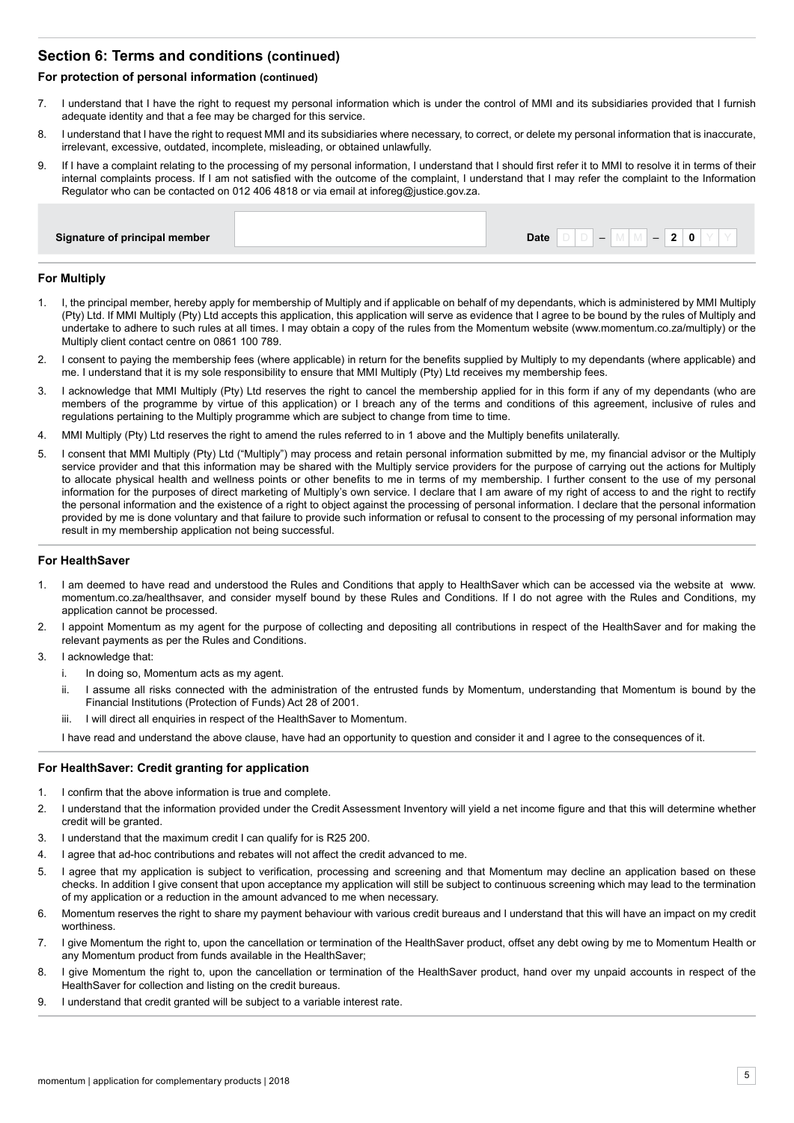# **Section 6: Terms and conditions (continued)**

#### **For protection of personal information (continued)**

- 7. I understand that I have the right to request my personal information which is under the control of MMI and its subsidiaries provided that I furnish adequate identity and that a fee may be charged for this service.
- 8. I understand that I have the right to request MMI and its subsidiaries where necessary, to correct, or delete my personal information that is inaccurate, irrelevant, excessive, outdated, incomplete, misleading, or obtained unlawfully.
- 9. If I have a complaint relating to the processing of my personal information, I understand that I should first refer it to MMI to resolve it in terms of their internal complaints process. If I am not satisfied with the outcome of the complaint, I understand that I may refer the complaint to the Information Regulator who can be contacted on 012 406 4818 or via email at inforeg@justice.gov.za.

#### **For Multiply**

- 1. I, the principal member, hereby apply for membership of Multiply and if applicable on behalf of my dependants, which is administered by MMI Multiply (Pty) Ltd. If MMI Multiply (Pty) Ltd accepts this application, this application will serve as evidence that I agree to be bound by the rules of Multiply and undertake to adhere to such rules at all times. I may obtain a copy of the rules from the Momentum website (www.momentum.co.za/multiply) or the Multiply client contact centre on 0861 100 789.
- 2. I consent to paying the membership fees (where applicable) in return for the benefits supplied by Multiply to my dependants (where applicable) and me. I understand that it is my sole responsibility to ensure that MMI Multiply (Pty) Ltd receives my membership fees.
- 3. I acknowledge that MMI Multiply (Pty) Ltd reserves the right to cancel the membership applied for in this form if any of my dependants (who are members of the programme by virtue of this application) or I breach any of the terms and conditions of this agreement, inclusive of rules and regulations pertaining to the Multiply programme which are subject to change from time to time.
- 4. MMI Multiply (Pty) Ltd reserves the right to amend the rules referred to in 1 above and the Multiply benefits unilaterally.
- 5. I consent that MMI Multiply (Pty) Ltd ("Multiply") may process and retain personal information submitted by me, my financial advisor or the Multiply service provider and that this information may be shared with the Multiply service providers for the purpose of carrying out the actions for Multiply to allocate physical health and wellness points or other benefits to me in terms of my membership. I further consent to the use of my personal information for the purposes of direct marketing of Multiply's own service. I declare that I am aware of my right of access to and the right to rectify the personal information and the existence of a right to object against the processing of personal information. I declare that the personal information provided by me is done voluntary and that failure to provide such information or refusal to consent to the processing of my personal information may result in my membership application not being successful.

#### **For HealthSaver**

- 1. I am deemed to have read and understood the Rules and Conditions that apply to HealthSaver which can be accessed via the website at www. momentum.co.za/healthsaver, and consider myself bound by these Rules and Conditions. If I do not agree with the Rules and Conditions, my application cannot be processed.
- 2. I appoint Momentum as my agent for the purpose of collecting and depositing all contributions in respect of the HealthSaver and for making the relevant payments as per the Rules and Conditions.
- 3. I acknowledge that:
	- i. In doing so, Momentum acts as my agent.
	- ii. I assume all risks connected with the administration of the entrusted funds by Momentum, understanding that Momentum is bound by the Financial Institutions (Protection of Funds) Act 28 of 2001.
	- iii. I will direct all enquiries in respect of the HealthSaver to Momentum.

I have read and understand the above clause, have had an opportunity to question and consider it and I agree to the consequences of it.

#### **For HealthSaver: Credit granting for application**

- 1. I confirm that the above information is true and complete.
- 2. I understand that the information provided under the Credit Assessment Inventory will yield a net income figure and that this will determine whether credit will be granted.
- 3. I understand that the maximum credit I can qualify for is R25 200.
- 4. I agree that ad-hoc contributions and rebates will not affect the credit advanced to me.
- 5. I agree that my application is subject to verification, processing and screening and that Momentum may decline an application based on these checks. In addition I give consent that upon acceptance my application will still be subject to continuous screening which may lead to the termination of my application or a reduction in the amount advanced to me when necessary.
- 6. Momentum reserves the right to share my payment behaviour with various credit bureaus and I understand that this will have an impact on my credit worthiness.
- 7. I give Momentum the right to, upon the cancellation or termination of the HealthSaver product, offset any debt owing by me to Momentum Health or any Momentum product from funds available in the HealthSaver;
- 8. I give Momentum the right to, upon the cancellation or termination of the HealthSaver product, hand over my unpaid accounts in respect of the HealthSaver for collection and listing on the credit bureaus.
- 9. I understand that credit granted will be subject to a variable interest rate.